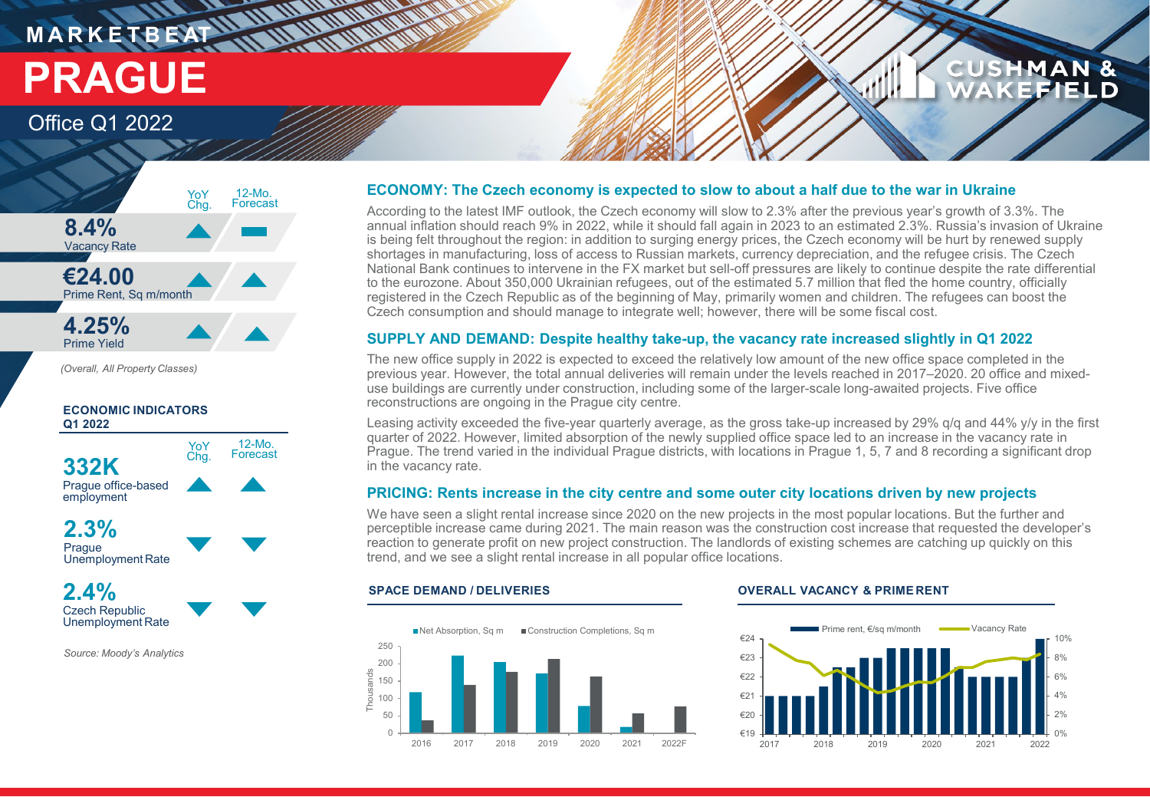## **MARKETBEAT 11 MM MMM PRAGUE**

## Office Q1 2022



**THE UNITED WARRANT** 

*(Overall, All Property Classes)*

### **ECONOMIC INDICATORS Q1 2022**



**2.3% Prague** Unemployment Rate



*Source: Moody's Analytics*

### **ECONOMY: The Czech economy is expected to slow to about a half due to the war in Ukraine**

According to the latest IMF outlook, the Czech economy will slow to 2.3% after the previous year's growth of 3.3%. The annual inflation should reach 9% in 2022, while it should fall again in 2023 to an estimated 2.3%. Russia's invasion of Ukraine is being felt throughout the region: in addition to surging energy prices, the Czech economy will be hurt by renewed supply shortages in manufacturing, loss of access to Russian markets, currency depreciation, and the refugee crisis. The Czech National Bank continues to intervene in the FX market but sell-off pressures are likely to continue despite the rate differential to the eurozone. About 350,000 Ukrainian refugees, out of the estimated 5.7 million that fled the home country, officially registered in the Czech Republic as of the beginning of May, primarily women and children. The refugees can boost the Czech consumption and should manage to integrate well; however, there will be some fiscal cost.

### **SUPPLY AND DEMAND: Despite healthy take-up, the vacancy rate increased slightly in Q1 2022**

The new office supply in 2022 is expected to exceed the relatively low amount of the new office space completed in the previous year. However, the total annual deliveries will remain under the levels reached in 2017–2020. 20 office and mixeduse buildings are currently under construction, including some of the larger-scale long-awaited projects. Five office reconstructions are ongoing in the Prague city centre.

Leasing activity exceeded the five-year quarterly average, as the gross take-up increased by 29% q/q and 44% y/y in the first quarter of 2022. However, limited absorption of the newly supplied office space led to an increase in the vacancy rate in Prague. The trend varied in the individual Prague districts, with locations in Prague 1, 5, 7 and 8 recording a significant drop in the vacancy rate.

### **PRICING: Rents increase in the city centre and some outer city locations driven by new projects**

We have seen a slight rental increase since 2020 on the new projects in the most popular locations. But the further and perceptible increase came during 2021. The main reason was the construction cost increase that requested the developer's reaction to generate profit on new project construction. The landlords of existing schemes are catching up quickly on this trend, and we see a slight rental increase in all popular office locations.



### **SPACE DEMAND / DELIVERIES OVERALL VACANCY & PRIME RENT**



**CUSHMAN &** 

EFIELD